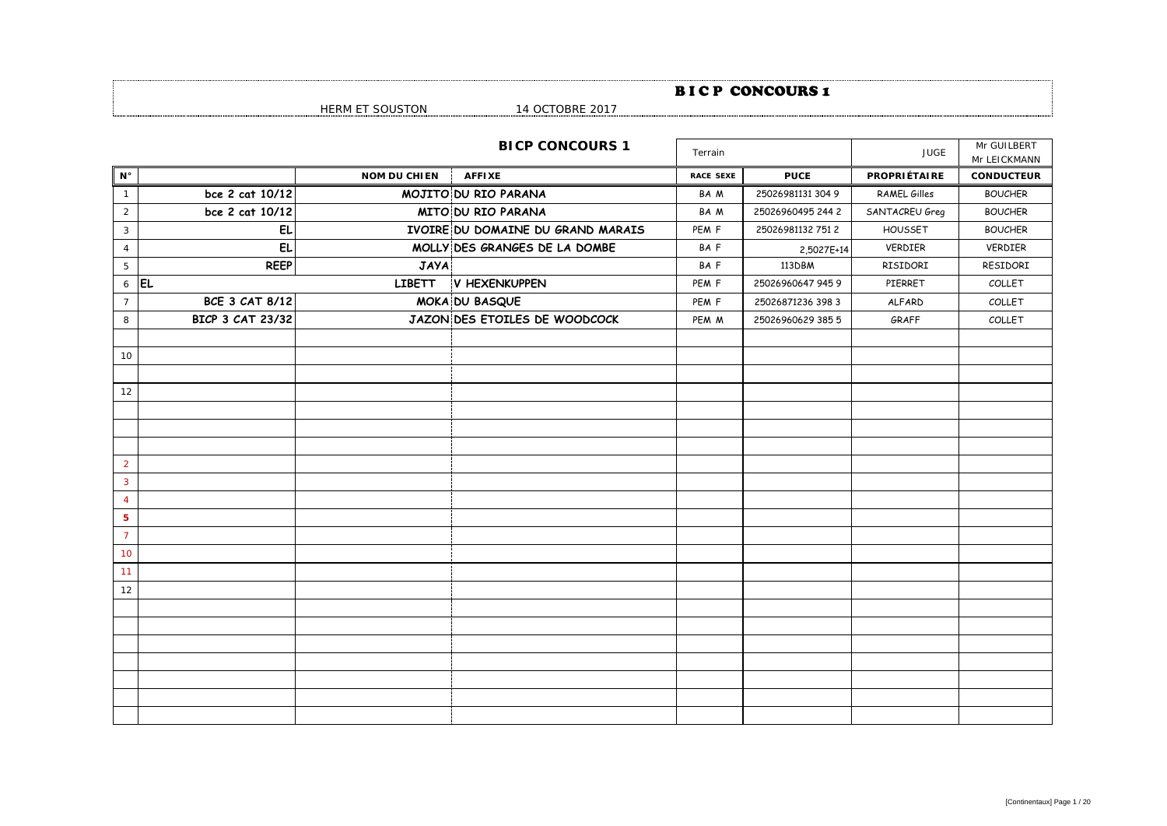|                    |                         |                     |                                   |                  | <b>BICP CONCOURS1</b> |                     |                             |
|--------------------|-------------------------|---------------------|-----------------------------------|------------------|-----------------------|---------------------|-----------------------------|
|                    |                         | HERM ET SOUSTON     | 14 OCTOBRE 2017                   |                  |                       |                     |                             |
|                    |                         |                     | <b>BICP CONCOURS 1</b>            | Terrain          |                       | <b>JUGE</b>         | Mr GUILBERT<br>Mr LEICKMANN |
| $\mathsf{N}^\circ$ |                         | <b>NOM DU CHIEN</b> | <b>AFFIXE</b>                     | <b>RACE SEXE</b> | <b>PUCE</b>           | <b>PROPRIÉTAIRE</b> | <b>CONDUCTEUR</b>           |
| $\mathbf{1}$       | bce 2 cat 10/12         |                     | MOJITO DU RIO PARANA              | BA M             | 25026981131 304 9     | RAMEL Gilles        | <b>BOUCHER</b>              |
| $\overline{2}$     | bce 2 cat 10/12         |                     | MITO DU RIO PARANA                | BA M             | 25026960495 244 2     | SANTACREU Greg      | <b>BOUCHER</b>              |
| $\mathbf{3}$       | EL                      |                     | IVOIRE DU DOMAINE DU GRAND MARAIS | PEM F            | 25026981132 751 2     | HOUSSET             | <b>BOUCHER</b>              |
| $\overline{4}$     | EL.                     |                     | MOLLY DES GRANGES DE LA DOMBE     | BA F             | 2,5027E+14            | VERDIER             | VERDIER                     |
| 5                  | <b>REEP</b>             | <b>JAYA</b>         |                                   | BAF              | 113DBM                | RISIDORI            | RESIDORI                    |
| $\epsilon$         | <b>EL</b>               |                     | LIBETT V HEXENKUPPEN              | PEM F            | 25026960647 945 9     | PIERRET             | COLLET                      |
| $\overline{7}$     | <b>BCE 3 CAT 8/12</b>   |                     | MOKA DU BASQUE                    | PEM F            | 25026871236 398 3     | <b>ALFARD</b>       | COLLET                      |
| 8                  | <b>BICP 3 CAT 23/32</b> |                     | JAZON DES ETOILES DE WOODCOCK     | PEM M            | 25026960629 385 5     | GRAFF               | COLLET                      |
|                    |                         |                     |                                   |                  |                       |                     |                             |
| 10                 |                         |                     |                                   |                  |                       |                     |                             |
|                    |                         |                     |                                   |                  |                       |                     |                             |
| 12                 |                         |                     |                                   |                  |                       |                     |                             |
|                    |                         |                     |                                   |                  |                       |                     |                             |
|                    |                         |                     |                                   |                  |                       |                     |                             |
|                    |                         |                     |                                   |                  |                       |                     |                             |
| $\overline{2}$     |                         |                     |                                   |                  |                       |                     |                             |
| $\overline{3}$     |                         |                     |                                   |                  |                       |                     |                             |
| $\overline{4}$     |                         |                     |                                   |                  |                       |                     |                             |
| ${\bf 5}$          |                         |                     |                                   |                  |                       |                     |                             |
| $\overline{7}$     |                         |                     |                                   |                  |                       |                     |                             |
| 10                 |                         |                     |                                   |                  |                       |                     |                             |
| 11                 |                         |                     |                                   |                  |                       |                     |                             |
| 12                 |                         |                     |                                   |                  |                       |                     |                             |
|                    |                         |                     |                                   |                  |                       |                     |                             |
|                    |                         |                     |                                   |                  |                       |                     |                             |
|                    |                         |                     |                                   |                  |                       |                     |                             |
|                    |                         |                     |                                   |                  |                       |                     |                             |
|                    |                         |                     |                                   |                  |                       |                     |                             |
|                    |                         |                     |                                   |                  |                       |                     |                             |
|                    |                         |                     |                                   |                  |                       |                     |                             |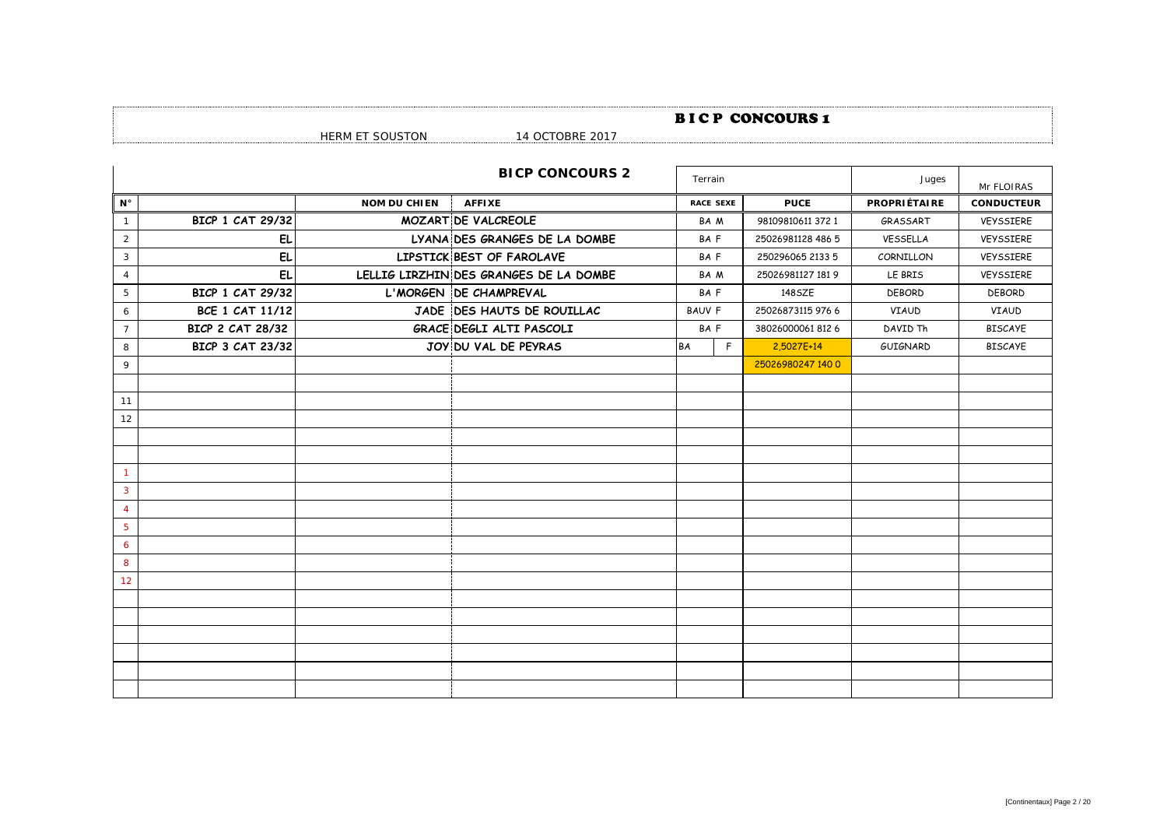## BICP CONCOURS 1

| ∼<br>. |  |
|--------|--|
|        |  |

|  |  |  | 01 L I JUUJ I VII |  |
|--|--|--|-------------------|--|
|  |  |  |                   |  |

|  | 1 T OO I ODI LE 2017 |  |  |  |  |  |  |
|--|----------------------|--|--|--|--|--|--|
|  |                      |  |  |  |  |  |  |
|  |                      |  |  |  |  |  |  |

|                    |                         |                     | <b>BICP CONCOURS 2</b>                 | Terrain          |                   | Juges               | Mr FLOIRAS        |
|--------------------|-------------------------|---------------------|----------------------------------------|------------------|-------------------|---------------------|-------------------|
| $\mathsf{N}^\circ$ |                         | <b>NOM DU CHIEN</b> | <b>AFFIXE</b>                          | <b>RACE SEXE</b> | <b>PUCE</b>       | <b>PROPRIÉTAIRE</b> | <b>CONDUCTEUR</b> |
| $\mathbf{1}$       | <b>BICP 1 CAT 29/32</b> |                     | <b>MOZARTIDE VALCREOLE</b>             | BA M             | 98109810611 372 1 | GRASSART            | <b>VEYSSIERE</b>  |
| $\overline{2}$     | <b>EL</b>               |                     | LYANA DES GRANGES DE LA DOMBE          | BAF              | 25026981128 486 5 | VESSELLA            | VEYSSIERE         |
| 3                  | <b>EL</b>               |                     | LIPSTICK BEST OF FAROLAVE              | BAF              | 250296065 2133 5  | CORNILLON           | VEYSSIERE         |
| $\overline{4}$     | <b>EL</b>               |                     | LELLIG LIRZHIN DES GRANGES DE LA DOMBE | BA M             | 25026981127 1819  | LE BRIS             | VEYSSIERE         |
| 5                  | <b>BICP 1 CAT 29/32</b> |                     | L'MORGEN DE CHAMPREVAL                 | BAF              | 148SZE            | <b>DEBORD</b>       | <b>DEBORD</b>     |
| 6                  | <b>BCE 1 CAT 11/12</b>  |                     | JADE DES HAUTS DE ROUILLAC             | <b>BAUV F</b>    | 25026873115 976 6 | VIAUD               | VIAUD             |
| $\overline{7}$     | <b>BICP 2 CAT 28/32</b> |                     | GRACE DEGLI ALTI PASCOLI               | BAF              | 380260000618126   | DAVID Th            | <b>BISCAYE</b>    |
| 8                  | <b>BICP 3 CAT 23/32</b> |                     | JOY DU VAL DE PEYRAS                   | F<br>BA          | 2,5027E+14        | GUIGNARD            | <b>BISCAYE</b>    |
| 9                  |                         |                     |                                        |                  | 25026980247 140 0 |                     |                   |
|                    |                         |                     |                                        |                  |                   |                     |                   |
| 11                 |                         |                     |                                        |                  |                   |                     |                   |
| 12                 |                         |                     |                                        |                  |                   |                     |                   |
|                    |                         |                     |                                        |                  |                   |                     |                   |
|                    |                         |                     |                                        |                  |                   |                     |                   |
|                    |                         |                     |                                        |                  |                   |                     |                   |
| $\mathbf{3}$       |                         |                     |                                        |                  |                   |                     |                   |
| $\overline{4}$     |                         |                     |                                        |                  |                   |                     |                   |
| 5                  |                         |                     |                                        |                  |                   |                     |                   |
| 6                  |                         |                     |                                        |                  |                   |                     |                   |
| 8                  |                         |                     |                                        |                  |                   |                     |                   |
| 12                 |                         |                     |                                        |                  |                   |                     |                   |
|                    |                         |                     |                                        |                  |                   |                     |                   |
|                    |                         |                     |                                        |                  |                   |                     |                   |
|                    |                         |                     |                                        |                  |                   |                     |                   |
|                    |                         |                     |                                        |                  |                   |                     |                   |
|                    |                         |                     |                                        |                  |                   |                     |                   |
|                    |                         |                     |                                        |                  |                   |                     |                   |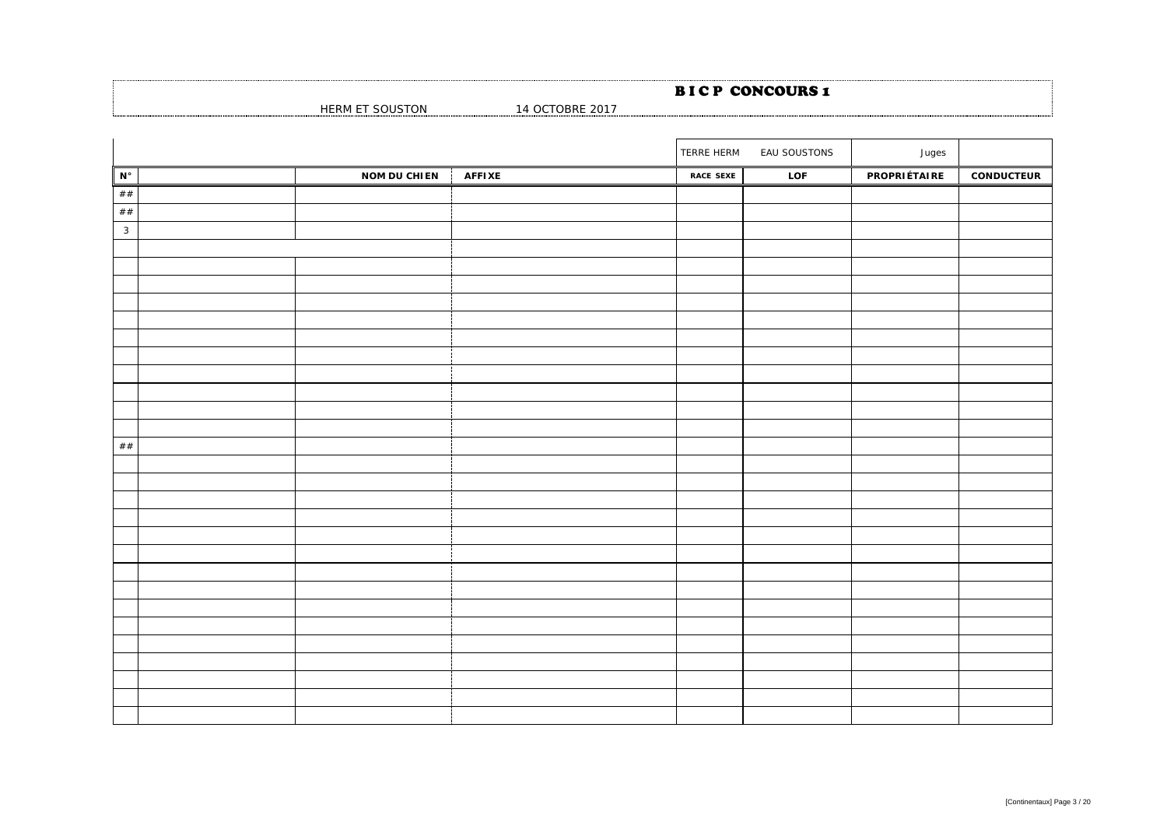HERM ET SOUSTON 14 OCTOBRE 2017

|                      |                     |               | TERRE HERM       | EAU SOUSTONS | Juges        |                   |
|----------------------|---------------------|---------------|------------------|--------------|--------------|-------------------|
| $\mathbf{N}^{\circ}$ | <b>NOM DU CHIEN</b> | <b>AFFIXE</b> | <b>RACE SEXE</b> | LOF          | PROPRIÉTAIRE | <b>CONDUCTEUR</b> |
| $\#\#$               |                     |               |                  |              |              |                   |
| $\#\#$               |                     |               |                  |              |              |                   |
| $\mathbf{3}$         |                     |               |                  |              |              |                   |
|                      |                     |               |                  |              |              |                   |
|                      |                     |               |                  |              |              |                   |
|                      |                     |               |                  |              |              |                   |
|                      |                     |               |                  |              |              |                   |
|                      |                     |               |                  |              |              |                   |
|                      |                     |               |                  |              |              |                   |
|                      |                     |               |                  |              |              |                   |
|                      |                     |               |                  |              |              |                   |
|                      |                     |               |                  |              |              |                   |
|                      |                     |               |                  |              |              |                   |
|                      |                     |               |                  |              |              |                   |
| $\#\#$               |                     |               |                  |              |              |                   |
|                      |                     |               |                  |              |              |                   |
|                      |                     |               |                  |              |              |                   |
|                      |                     |               |                  |              |              |                   |
|                      |                     |               |                  |              |              |                   |
|                      |                     |               |                  |              |              |                   |
|                      |                     |               |                  |              |              |                   |
|                      |                     |               |                  |              |              |                   |
|                      |                     |               |                  |              |              |                   |
|                      |                     |               |                  |              |              |                   |
|                      |                     |               |                  |              |              |                   |
|                      |                     |               |                  |              |              |                   |
|                      |                     |               |                  |              |              |                   |
|                      |                     |               |                  |              |              |                   |
|                      |                     |               |                  |              |              |                   |
|                      |                     |               |                  |              |              |                   |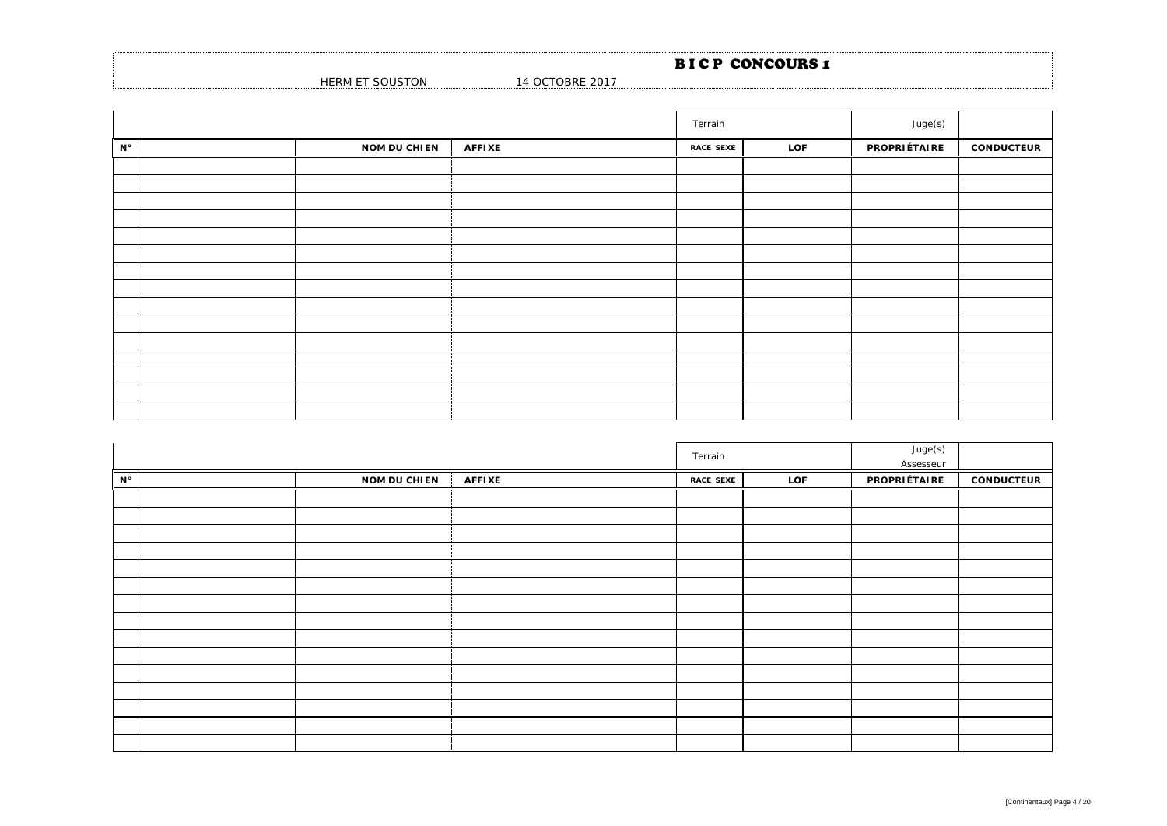|                                  |                      | <b>BICP CONCOURS1</b> |  |
|----------------------------------|----------------------|-----------------------|--|
| <b>SOUSTON</b><br><b>HERM ET</b> | 1 OCTOBRE 2017<br>14 |                       |  |

|                      |                     |               | Terrain          |     | Juge(s)      |                   |
|----------------------|---------------------|---------------|------------------|-----|--------------|-------------------|
| $\mathbf{N}^{\circ}$ | <b>NOM DU CHIEN</b> | <b>AFFIXE</b> | <b>RACE SEXE</b> | LOF | PROPRIÉTAIRE | <b>CONDUCTEUR</b> |
|                      |                     |               |                  |     |              |                   |
|                      |                     |               |                  |     |              |                   |
|                      |                     |               |                  |     |              |                   |
|                      |                     |               |                  |     |              |                   |
|                      |                     |               |                  |     |              |                   |
|                      |                     |               |                  |     |              |                   |
|                      |                     |               |                  |     |              |                   |
|                      |                     |               |                  |     |              |                   |
|                      |                     |               |                  |     |              |                   |
|                      |                     |               |                  |     |              |                   |
|                      |                     |               |                  |     |              |                   |
|                      |                     |               |                  |     |              |                   |
|                      |                     |               |                  |     |              |                   |
|                      |                     |               |                  |     |              |                   |
|                      |                     |               |                  |     |              |                   |

|                    |                     |               | Terrain          |     |                     |                   |
|--------------------|---------------------|---------------|------------------|-----|---------------------|-------------------|
| $\mathsf{N}^\circ$ | <b>NOM DU CHIEN</b> | <b>AFFIXE</b> | <b>RACE SEXE</b> | LOF | <b>PROPRIÉTAIRE</b> | <b>CONDUCTEUR</b> |
|                    |                     |               |                  |     |                     |                   |
|                    |                     |               |                  |     |                     |                   |
|                    |                     |               |                  |     |                     |                   |
|                    |                     |               |                  |     |                     |                   |
|                    |                     |               |                  |     |                     |                   |
|                    |                     |               |                  |     |                     |                   |
|                    |                     |               |                  |     |                     |                   |
|                    |                     |               |                  |     |                     |                   |
|                    |                     |               |                  |     |                     |                   |
|                    |                     |               |                  |     |                     |                   |
|                    |                     |               |                  |     |                     |                   |
|                    |                     |               |                  |     |                     |                   |
|                    |                     |               |                  |     |                     |                   |
|                    |                     |               |                  |     |                     |                   |
|                    |                     |               |                  |     |                     |                   |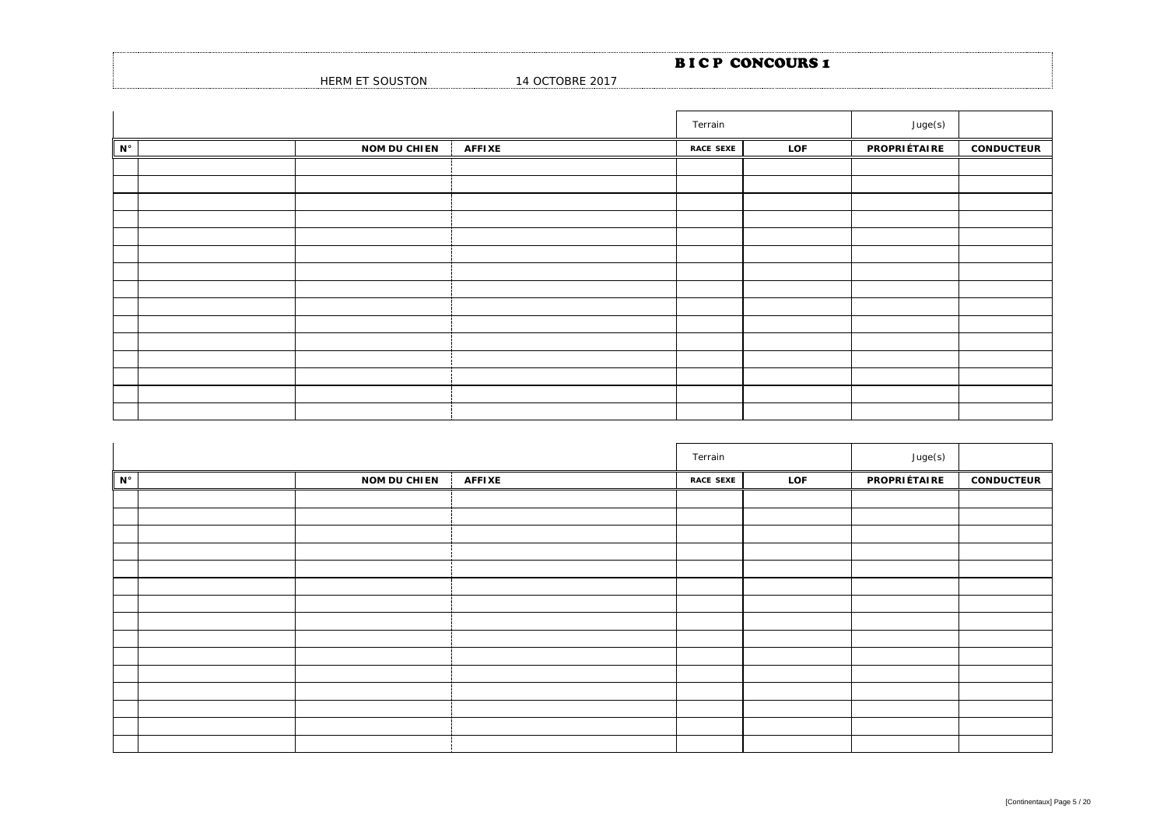|                         |                 | <b>BICP CONCOURS1</b> |
|-------------------------|-----------------|-----------------------|
| HERM ET SOL<br>oUSTON د | 14 OCTOBRE 2017 |                       |

|                      |                     |               | Terrain          |     | Juge(s)             |                   |
|----------------------|---------------------|---------------|------------------|-----|---------------------|-------------------|
| $\mathbf{N}^{\circ}$ | <b>NOM DU CHIEN</b> | <b>AFFIXE</b> | <b>RACE SEXE</b> | LOF | <b>PROPRIÉTAIRE</b> | <b>CONDUCTEUR</b> |
|                      |                     |               |                  |     |                     |                   |
|                      |                     |               |                  |     |                     |                   |
|                      |                     |               |                  |     |                     |                   |
|                      |                     |               |                  |     |                     |                   |
|                      |                     |               |                  |     |                     |                   |
|                      |                     |               |                  |     |                     |                   |
|                      |                     |               |                  |     |                     |                   |
|                      |                     |               |                  |     |                     |                   |
|                      |                     |               |                  |     |                     |                   |
|                      |                     |               |                  |     |                     |                   |
|                      |                     |               |                  |     |                     |                   |
|                      |                     |               |                  |     |                     |                   |
|                      |                     |               |                  |     |                     |                   |
|                      |                     |               |                  |     |                     |                   |
|                      |                     |               |                  |     |                     |                   |

|                      |                     |               | Terrain          |     | Juge(s)      |                   |
|----------------------|---------------------|---------------|------------------|-----|--------------|-------------------|
| $\mathbf{N}^{\circ}$ | <b>NOM DU CHIEN</b> | <b>AFFIXE</b> | <b>RACE SEXE</b> | LOF | PROPRIÉTAIRE | <b>CONDUCTEUR</b> |
|                      |                     |               |                  |     |              |                   |
|                      |                     |               |                  |     |              |                   |
|                      |                     |               |                  |     |              |                   |
|                      |                     |               |                  |     |              |                   |
|                      |                     |               |                  |     |              |                   |
|                      |                     |               |                  |     |              |                   |
|                      |                     |               |                  |     |              |                   |
|                      |                     |               |                  |     |              |                   |
|                      |                     |               |                  |     |              |                   |
|                      |                     |               |                  |     |              |                   |
|                      |                     |               |                  |     |              |                   |
|                      |                     |               |                  |     |              |                   |
|                      |                     |               |                  |     |              |                   |
|                      |                     |               |                  |     |              |                   |
|                      |                     |               |                  |     |              |                   |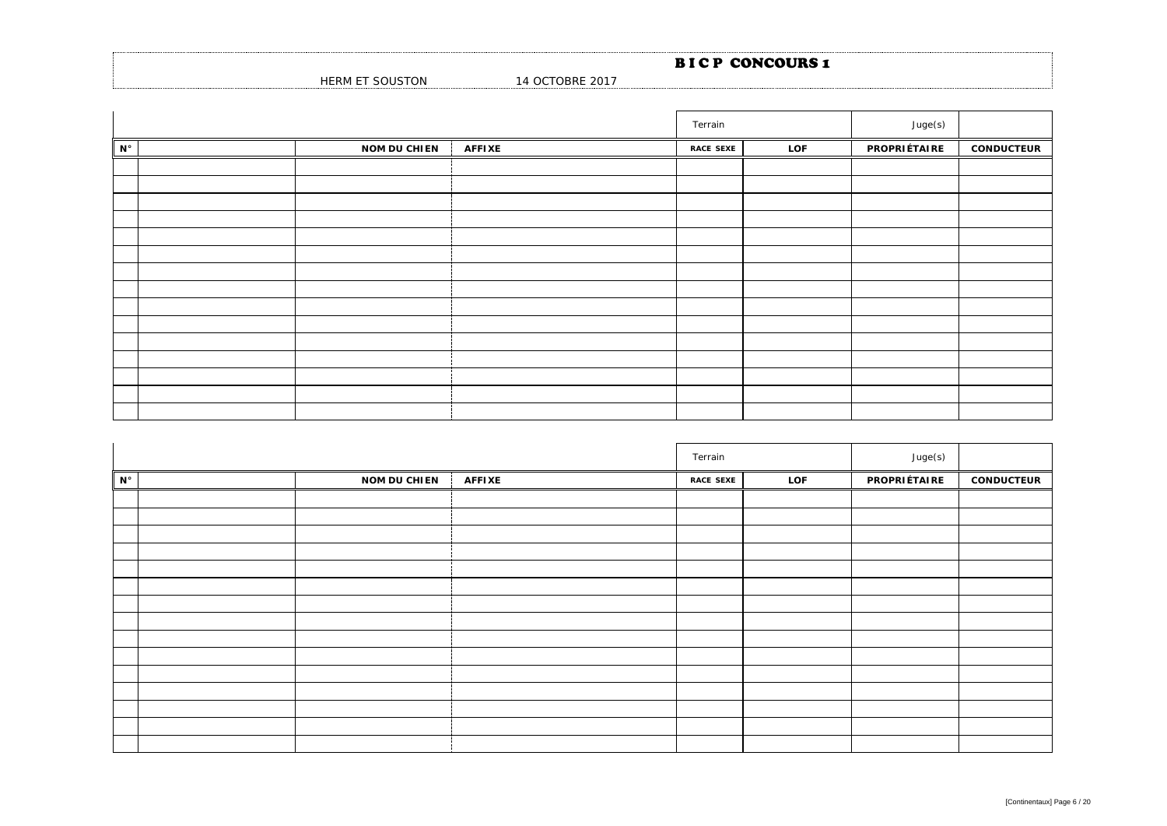|                         |                 | <b>BICP CONCOURS1</b> |
|-------------------------|-----------------|-----------------------|
| HERM ET SOL<br>oUSTON د | 14 OCTOBRE 2017 |                       |

|                      |                     |               | Terrain          |     | Juge(s)             |                   |
|----------------------|---------------------|---------------|------------------|-----|---------------------|-------------------|
| $\mathbf{N}^{\circ}$ | <b>NOM DU CHIEN</b> | <b>AFFIXE</b> | <b>RACE SEXE</b> | LOF | <b>PROPRIÉTAIRE</b> | <b>CONDUCTEUR</b> |
|                      |                     |               |                  |     |                     |                   |
|                      |                     |               |                  |     |                     |                   |
|                      |                     |               |                  |     |                     |                   |
|                      |                     |               |                  |     |                     |                   |
|                      |                     |               |                  |     |                     |                   |
|                      |                     |               |                  |     |                     |                   |
|                      |                     |               |                  |     |                     |                   |
|                      |                     |               |                  |     |                     |                   |
|                      |                     |               |                  |     |                     |                   |
|                      |                     |               |                  |     |                     |                   |
|                      |                     |               |                  |     |                     |                   |
|                      |                     |               |                  |     |                     |                   |
|                      |                     |               |                  |     |                     |                   |
|                      |                     |               |                  |     |                     |                   |
|                      |                     |               |                  |     |                     |                   |

|                      |                     |               | Terrain          |     | Juge(s)      |                   |
|----------------------|---------------------|---------------|------------------|-----|--------------|-------------------|
| $\mathbf{N}^{\circ}$ | <b>NOM DU CHIEN</b> | <b>AFFIXE</b> | <b>RACE SEXE</b> | LOF | PROPRIÉTAIRE | <b>CONDUCTEUR</b> |
|                      |                     |               |                  |     |              |                   |
|                      |                     |               |                  |     |              |                   |
|                      |                     |               |                  |     |              |                   |
|                      |                     |               |                  |     |              |                   |
|                      |                     |               |                  |     |              |                   |
|                      |                     |               |                  |     |              |                   |
|                      |                     |               |                  |     |              |                   |
|                      |                     |               |                  |     |              |                   |
|                      |                     |               |                  |     |              |                   |
|                      |                     |               |                  |     |              |                   |
|                      |                     |               |                  |     |              |                   |
|                      |                     |               |                  |     |              |                   |
|                      |                     |               |                  |     |              |                   |
|                      |                     |               |                  |     |              |                   |
|                      |                     |               |                  |     |              |                   |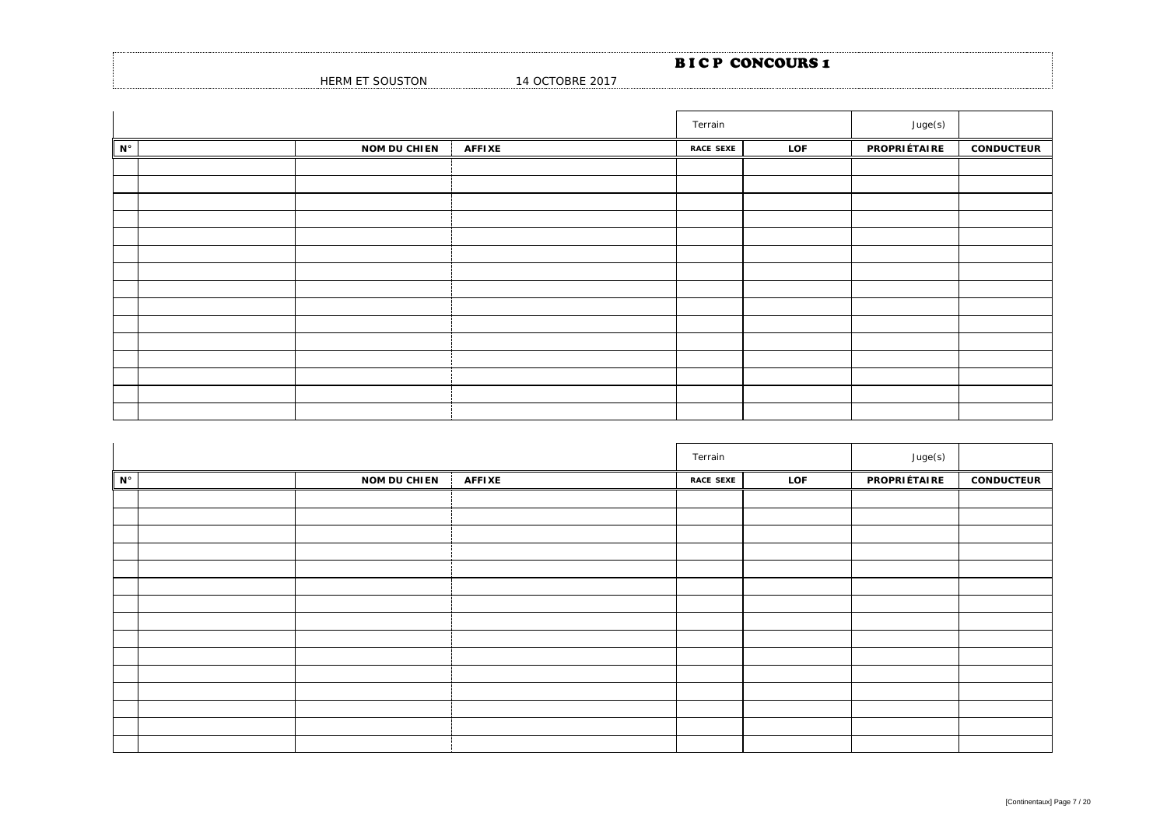|                                        |                 | <b>BICP CONCOURS1</b> |
|----------------------------------------|-----------------|-----------------------|
| <sup>-</sup> SOUSTON<br><b>HERM ET</b> | 14 OCTOBRE 2017 |                       |

|             |                     |               | Terrain          |     | Juge(s)      |                   |
|-------------|---------------------|---------------|------------------|-----|--------------|-------------------|
| $N^{\circ}$ | <b>NOM DU CHIEN</b> | <b>AFFIXE</b> | <b>RACE SEXE</b> | LOF | PROPRIÉTAIRE | <b>CONDUCTEUR</b> |
|             |                     |               |                  |     |              |                   |
|             |                     |               |                  |     |              |                   |
|             |                     |               |                  |     |              |                   |
|             |                     |               |                  |     |              |                   |
|             |                     |               |                  |     |              |                   |
|             |                     |               |                  |     |              |                   |
|             |                     |               |                  |     |              |                   |
|             |                     |               |                  |     |              |                   |
|             |                     |               |                  |     |              |                   |
|             |                     |               |                  |     |              |                   |
|             |                     |               |                  |     |              |                   |
|             |                     |               |                  |     |              |                   |
|             |                     |               |                  |     |              |                   |
|             |                     |               |                  |     |              |                   |
|             |                     |               |                  |     |              |                   |

|             |                     |               | Terrain          |     | Juge(s)      |                   |
|-------------|---------------------|---------------|------------------|-----|--------------|-------------------|
| $N^{\circ}$ | <b>NOM DU CHIEN</b> | <b>AFFIXE</b> | <b>RACE SEXE</b> | LOF | PROPRIÉTAIRE | <b>CONDUCTEUR</b> |
|             |                     |               |                  |     |              |                   |
|             |                     |               |                  |     |              |                   |
|             |                     |               |                  |     |              |                   |
|             |                     |               |                  |     |              |                   |
|             |                     |               |                  |     |              |                   |
|             |                     |               |                  |     |              |                   |
|             |                     |               |                  |     |              |                   |
|             |                     |               |                  |     |              |                   |
|             |                     |               |                  |     |              |                   |
|             |                     |               |                  |     |              |                   |
|             |                     |               |                  |     |              |                   |
|             |                     |               |                  |     |              |                   |
|             |                     |               |                  |     |              |                   |
|             |                     |               |                  |     |              |                   |
|             |                     |               |                  |     |              |                   |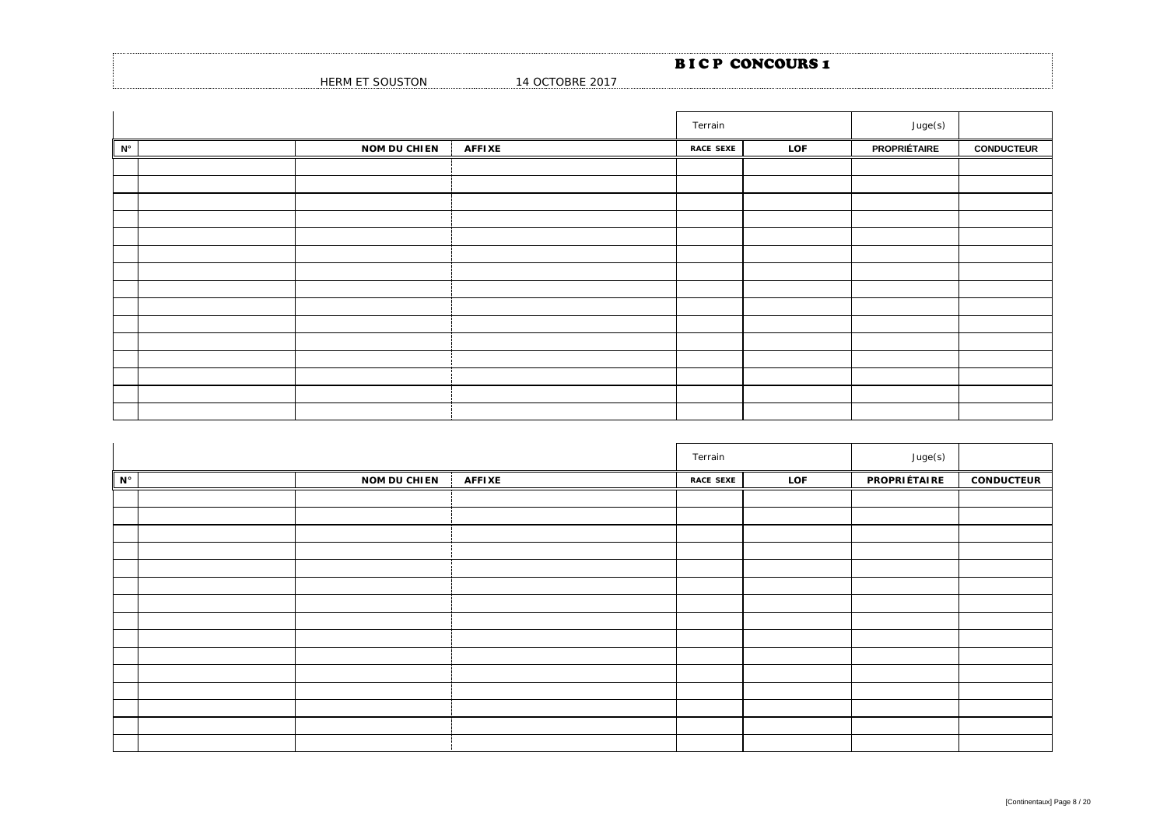|                             |                 | <b>BICP CONCOURS 1</b> |  |
|-----------------------------|-----------------|------------------------|--|
| T SOUSTON<br><b>HERM ET</b> | 14 OCTOBRE 2017 |                        |  |

|             |                     |               | Terrain          |     | Juge(s)             |                   |
|-------------|---------------------|---------------|------------------|-----|---------------------|-------------------|
| $N^{\circ}$ | <b>NOM DU CHIEN</b> | <b>AFFIXE</b> | <b>RACE SEXE</b> | LOF | <b>PROPRIÉTAIRE</b> | <b>CONDUCTEUR</b> |
|             |                     |               |                  |     |                     |                   |
|             |                     |               |                  |     |                     |                   |
|             |                     |               |                  |     |                     |                   |
|             |                     |               |                  |     |                     |                   |
|             |                     |               |                  |     |                     |                   |
|             |                     |               |                  |     |                     |                   |
|             |                     |               |                  |     |                     |                   |
|             |                     |               |                  |     |                     |                   |
|             |                     |               |                  |     |                     |                   |
|             |                     |               |                  |     |                     |                   |
|             |                     |               |                  |     |                     |                   |
|             |                     |               |                  |     |                     |                   |
|             |                     |               |                  |     |                     |                   |
|             |                     |               |                  |     |                     |                   |
|             |                     |               |                  |     |                     |                   |

|             |                     |               | Terrain          |     | Juge(s)      |                   |
|-------------|---------------------|---------------|------------------|-----|--------------|-------------------|
| $N^{\circ}$ | <b>NOM DU CHIEN</b> | <b>AFFIXE</b> | <b>RACE SEXE</b> | LOF | PROPRIÉTAIRE | <b>CONDUCTEUR</b> |
|             |                     |               |                  |     |              |                   |
|             |                     |               |                  |     |              |                   |
|             |                     |               |                  |     |              |                   |
|             |                     |               |                  |     |              |                   |
|             |                     |               |                  |     |              |                   |
|             |                     |               |                  |     |              |                   |
|             |                     |               |                  |     |              |                   |
|             |                     |               |                  |     |              |                   |
|             |                     |               |                  |     |              |                   |
|             |                     |               |                  |     |              |                   |
|             |                     |               |                  |     |              |                   |
|             |                     |               |                  |     |              |                   |
|             |                     |               |                  |     |              |                   |
|             |                     |               |                  |     |              |                   |
|             |                     |               |                  |     |              |                   |

.........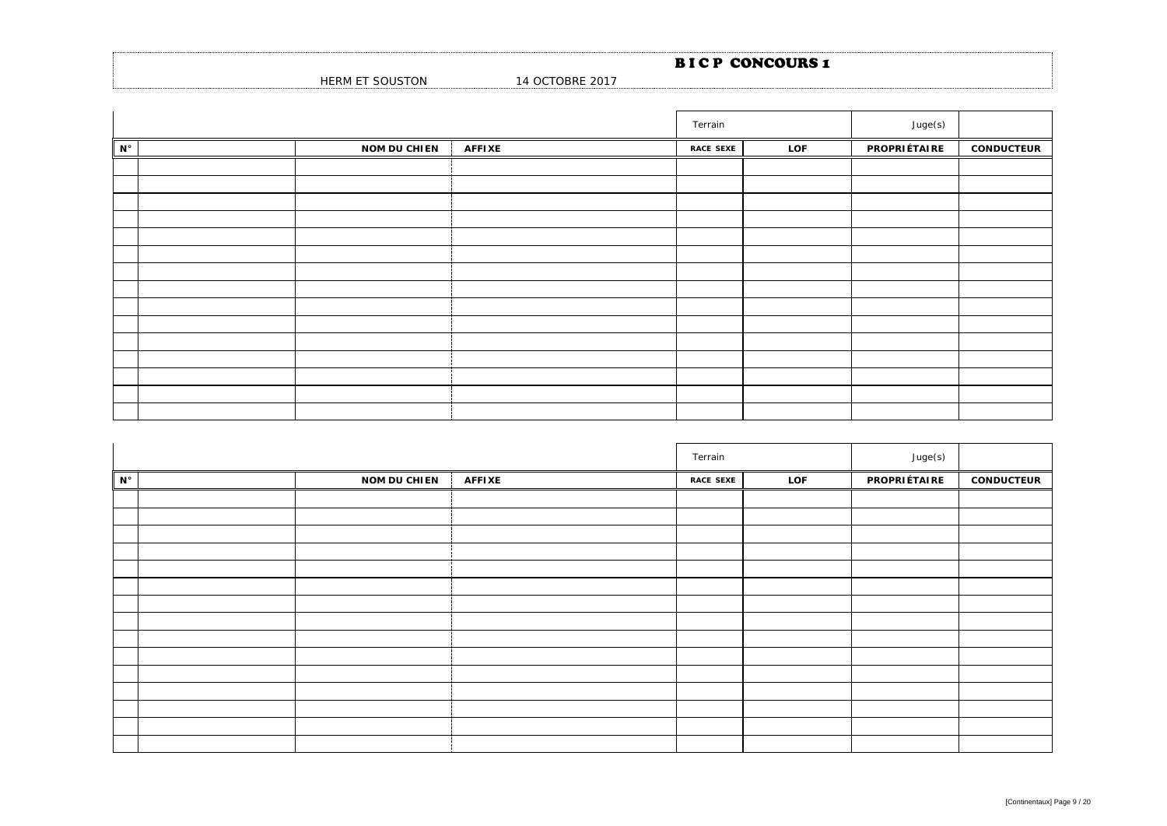|                 |                      | <b>BICP CONCOURS 1</b> |
|-----------------|----------------------|------------------------|
| HERM ET SOUSTON | 1 OCTOBRE 2017<br>14 |                        |

|             |                     |               | Terrain          |     | Juge(s)      |                   |
|-------------|---------------------|---------------|------------------|-----|--------------|-------------------|
| $N^{\circ}$ | <b>NOM DU CHIEN</b> | <b>AFFIXE</b> | <b>RACE SEXE</b> | LOF | PROPRIÉTAIRE | <b>CONDUCTEUR</b> |
|             |                     |               |                  |     |              |                   |
|             |                     |               |                  |     |              |                   |
|             |                     |               |                  |     |              |                   |
|             |                     |               |                  |     |              |                   |
|             |                     |               |                  |     |              |                   |
|             |                     |               |                  |     |              |                   |
|             |                     |               |                  |     |              |                   |
|             |                     |               |                  |     |              |                   |
|             |                     |               |                  |     |              |                   |
|             |                     |               |                  |     |              |                   |
|             |                     |               |                  |     |              |                   |
|             |                     |               |                  |     |              |                   |
|             |                     |               |                  |     |              |                   |
|             |                     |               |                  |     |              |                   |
|             |                     |               |                  |     |              |                   |

|             |                     | Terrain       |                  | Juge(s) |              |                   |
|-------------|---------------------|---------------|------------------|---------|--------------|-------------------|
| $N^{\circ}$ | <b>NOM DU CHIEN</b> | <b>AFFIXE</b> | <b>RACE SEXE</b> | LOF     | PROPRIÉTAIRE | <b>CONDUCTEUR</b> |
|             |                     |               |                  |         |              |                   |
|             |                     |               |                  |         |              |                   |
|             |                     |               |                  |         |              |                   |
|             |                     |               |                  |         |              |                   |
|             |                     |               |                  |         |              |                   |
|             |                     |               |                  |         |              |                   |
|             |                     |               |                  |         |              |                   |
|             |                     |               |                  |         |              |                   |
|             |                     |               |                  |         |              |                   |
|             |                     |               |                  |         |              |                   |
|             |                     |               |                  |         |              |                   |
|             |                     |               |                  |         |              |                   |
|             |                     |               |                  |         |              |                   |
|             |                     |               |                  |         |              |                   |
|             |                     |               |                  |         |              |                   |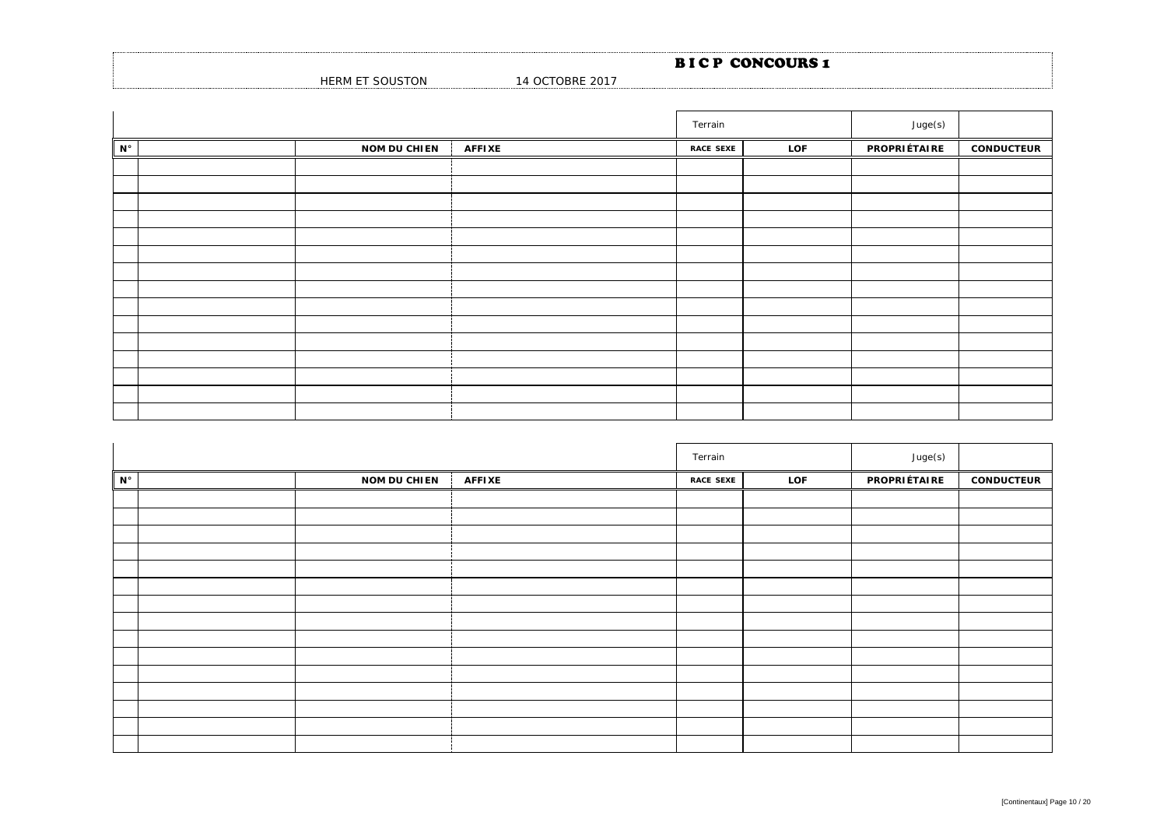|                         |                 | <b>BICP CONCOURS1</b> |
|-------------------------|-----------------|-----------------------|
| HERM ET SOL<br>oUSTON د | 14 OCTOBRE 2017 |                       |

|             |                     |               | Terrain          |     | Juge(s)      |                   |
|-------------|---------------------|---------------|------------------|-----|--------------|-------------------|
| $N^{\circ}$ | <b>NOM DU CHIEN</b> | <b>AFFIXE</b> | <b>RACE SEXE</b> | LOF | PROPRIÉTAIRE | <b>CONDUCTEUR</b> |
|             |                     |               |                  |     |              |                   |
|             |                     |               |                  |     |              |                   |
|             |                     |               |                  |     |              |                   |
|             |                     |               |                  |     |              |                   |
|             |                     |               |                  |     |              |                   |
|             |                     |               |                  |     |              |                   |
|             |                     |               |                  |     |              |                   |
|             |                     |               |                  |     |              |                   |
|             |                     |               |                  |     |              |                   |
|             |                     |               |                  |     |              |                   |
|             |                     |               |                  |     |              |                   |
|             |                     |               |                  |     |              |                   |
|             |                     |               |                  |     |              |                   |
|             |                     |               |                  |     |              |                   |
|             |                     |               |                  |     |              |                   |

|             |                     |               | Terrain          |     | Juge(s)      |                   |
|-------------|---------------------|---------------|------------------|-----|--------------|-------------------|
| $N^{\circ}$ | <b>NOM DU CHIEN</b> | <b>AFFIXE</b> | <b>RACE SEXE</b> | LOF | PROPRIÉTAIRE | <b>CONDUCTEUR</b> |
|             |                     |               |                  |     |              |                   |
|             |                     |               |                  |     |              |                   |
|             |                     |               |                  |     |              |                   |
|             |                     |               |                  |     |              |                   |
|             |                     |               |                  |     |              |                   |
|             |                     |               |                  |     |              |                   |
|             |                     |               |                  |     |              |                   |
|             |                     |               |                  |     |              |                   |
|             |                     |               |                  |     |              |                   |
|             |                     |               |                  |     |              |                   |
|             |                     |               |                  |     |              |                   |
|             |                     |               |                  |     |              |                   |
|             |                     |               |                  |     |              |                   |
|             |                     |               |                  |     |              |                   |
|             |                     |               |                  |     |              |                   |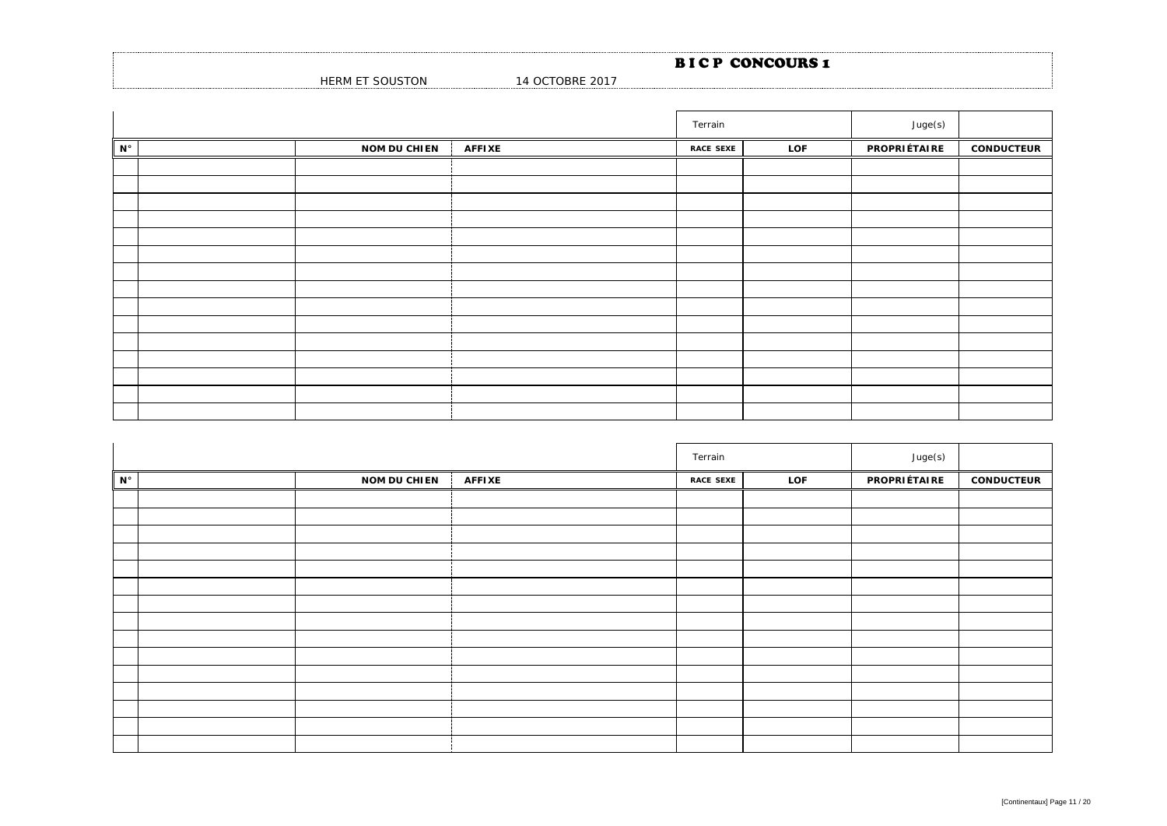|                                  |                 | <b>BICP CONCOURS1</b> |  |
|----------------------------------|-----------------|-----------------------|--|
| <b>SOUSTON</b><br><b>HERM ET</b> | 14 OCTOBRE 2017 |                       |  |

|             |                     |               | Terrain          |     | Juge(s)      |                   |
|-------------|---------------------|---------------|------------------|-----|--------------|-------------------|
| $N^{\circ}$ | <b>NOM DU CHIEN</b> | <b>AFFIXE</b> | <b>RACE SEXE</b> | LOF | PROPRIÉTAIRE | <b>CONDUCTEUR</b> |
|             |                     |               |                  |     |              |                   |
|             |                     |               |                  |     |              |                   |
|             |                     |               |                  |     |              |                   |
|             |                     |               |                  |     |              |                   |
|             |                     |               |                  |     |              |                   |
|             |                     |               |                  |     |              |                   |
|             |                     |               |                  |     |              |                   |
|             |                     |               |                  |     |              |                   |
|             |                     |               |                  |     |              |                   |
|             |                     |               |                  |     |              |                   |
|             |                     |               |                  |     |              |                   |
|             |                     |               |                  |     |              |                   |
|             |                     |               |                  |     |              |                   |
|             |                     |               |                  |     |              |                   |
|             |                     |               |                  |     |              |                   |

|             |                     | Terrain       |                  | Juge(s) |              |                   |
|-------------|---------------------|---------------|------------------|---------|--------------|-------------------|
| $N^{\circ}$ | <b>NOM DU CHIEN</b> | <b>AFFIXE</b> | <b>RACE SEXE</b> | LOF     | PROPRIÉTAIRE | <b>CONDUCTEUR</b> |
|             |                     |               |                  |         |              |                   |
|             |                     |               |                  |         |              |                   |
|             |                     |               |                  |         |              |                   |
|             |                     |               |                  |         |              |                   |
|             |                     |               |                  |         |              |                   |
|             |                     |               |                  |         |              |                   |
|             |                     |               |                  |         |              |                   |
|             |                     |               |                  |         |              |                   |
|             |                     |               |                  |         |              |                   |
|             |                     |               |                  |         |              |                   |
|             |                     |               |                  |         |              |                   |
|             |                     |               |                  |         |              |                   |
|             |                     |               |                  |         |              |                   |
|             |                     |               |                  |         |              |                   |
|             |                     |               |                  |         |              |                   |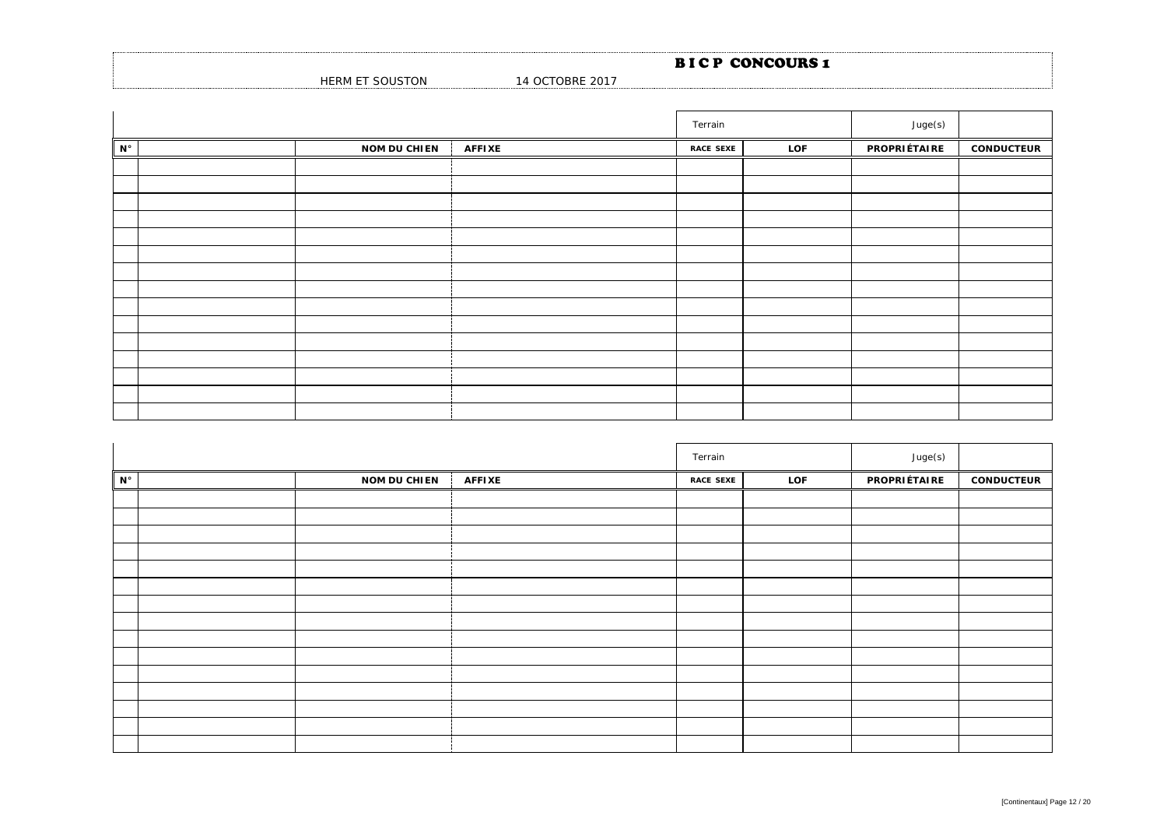|                         |                 | <b>BICP CONCOURS1</b> |
|-------------------------|-----------------|-----------------------|
| HERM ET SOL<br>oUSTON د | 14 OCTOBRE 2017 |                       |

|             |                     |               | Terrain          |     | Juge(s)      |                   |
|-------------|---------------------|---------------|------------------|-----|--------------|-------------------|
| $N^{\circ}$ | <b>NOM DU CHIEN</b> | <b>AFFIXE</b> | <b>RACE SEXE</b> | LOF | PROPRIÉTAIRE | <b>CONDUCTEUR</b> |
|             |                     |               |                  |     |              |                   |
|             |                     |               |                  |     |              |                   |
|             |                     |               |                  |     |              |                   |
|             |                     |               |                  |     |              |                   |
|             |                     |               |                  |     |              |                   |
|             |                     |               |                  |     |              |                   |
|             |                     |               |                  |     |              |                   |
|             |                     |               |                  |     |              |                   |
|             |                     |               |                  |     |              |                   |
|             |                     |               |                  |     |              |                   |
|             |                     |               |                  |     |              |                   |
|             |                     |               |                  |     |              |                   |
|             |                     |               |                  |     |              |                   |
|             |                     |               |                  |     |              |                   |
|             |                     |               |                  |     |              |                   |

|             |                     |               | Terrain          |     | Juge(s)      |                   |
|-------------|---------------------|---------------|------------------|-----|--------------|-------------------|
| $N^{\circ}$ | <b>NOM DU CHIEN</b> | <b>AFFIXE</b> | <b>RACE SEXE</b> | LOF | PROPRIÉTAIRE | <b>CONDUCTEUR</b> |
|             |                     |               |                  |     |              |                   |
|             |                     |               |                  |     |              |                   |
|             |                     |               |                  |     |              |                   |
|             |                     |               |                  |     |              |                   |
|             |                     |               |                  |     |              |                   |
|             |                     |               |                  |     |              |                   |
|             |                     |               |                  |     |              |                   |
|             |                     |               |                  |     |              |                   |
|             |                     |               |                  |     |              |                   |
|             |                     |               |                  |     |              |                   |
|             |                     |               |                  |     |              |                   |
|             |                     |               |                  |     |              |                   |
|             |                     |               |                  |     |              |                   |
|             |                     |               |                  |     |              |                   |
|             |                     |               |                  |     |              |                   |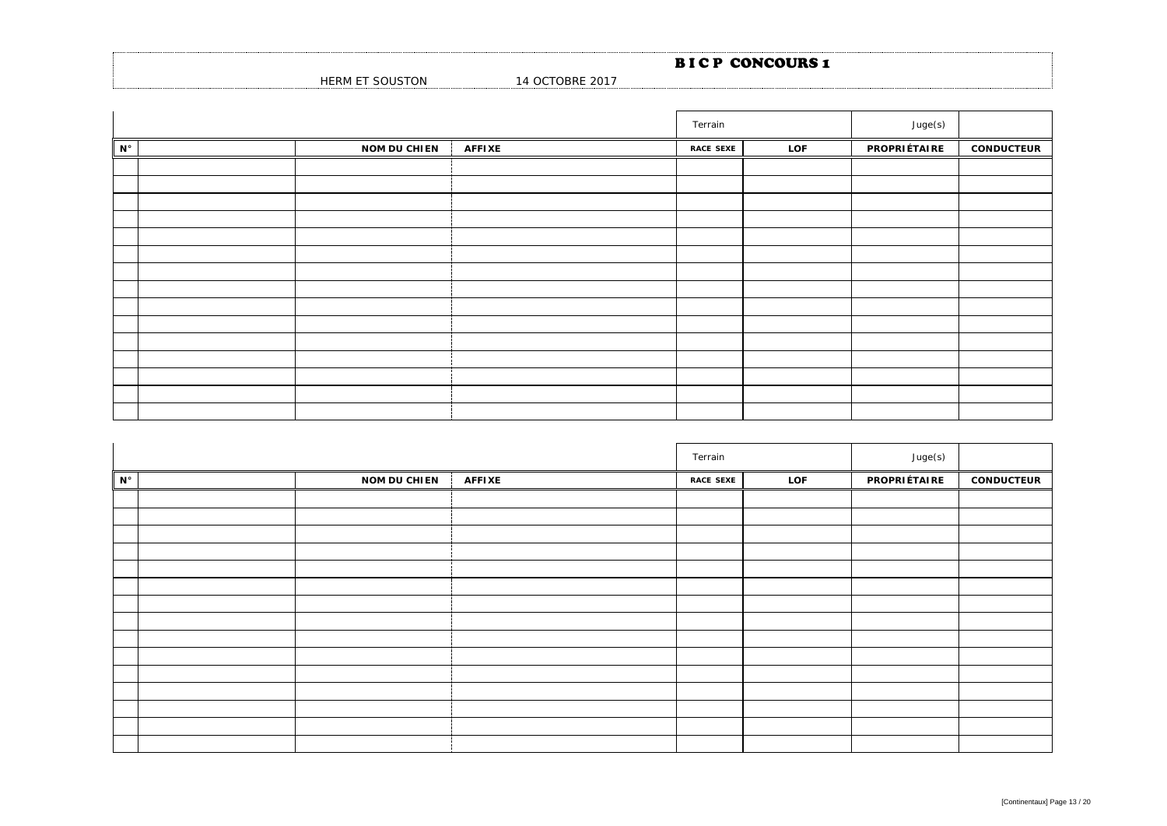|                         |                 | <b>BICP CONCOURS1</b> |
|-------------------------|-----------------|-----------------------|
| HERM ET SOL<br>oUSTON د | 14 OCTOBRE 2017 |                       |

|             |                     |               | Terrain          |     | Juge(s)      |                   |
|-------------|---------------------|---------------|------------------|-----|--------------|-------------------|
| $N^{\circ}$ | <b>NOM DU CHIEN</b> | <b>AFFIXE</b> | <b>RACE SEXE</b> | LOF | PROPRIÉTAIRE | <b>CONDUCTEUR</b> |
|             |                     |               |                  |     |              |                   |
|             |                     |               |                  |     |              |                   |
|             |                     |               |                  |     |              |                   |
|             |                     |               |                  |     |              |                   |
|             |                     |               |                  |     |              |                   |
|             |                     |               |                  |     |              |                   |
|             |                     |               |                  |     |              |                   |
|             |                     |               |                  |     |              |                   |
|             |                     |               |                  |     |              |                   |
|             |                     |               |                  |     |              |                   |
|             |                     |               |                  |     |              |                   |
|             |                     |               |                  |     |              |                   |
|             |                     |               |                  |     |              |                   |
|             |                     |               |                  |     |              |                   |
|             |                     |               |                  |     |              |                   |

|             |                     |               | Terrain          |     | Juge(s)      |                   |
|-------------|---------------------|---------------|------------------|-----|--------------|-------------------|
| $N^{\circ}$ | <b>NOM DU CHIEN</b> | <b>AFFIXE</b> | <b>RACE SEXE</b> | LOF | PROPRIÉTAIRE | <b>CONDUCTEUR</b> |
|             |                     |               |                  |     |              |                   |
|             |                     |               |                  |     |              |                   |
|             |                     |               |                  |     |              |                   |
|             |                     |               |                  |     |              |                   |
|             |                     |               |                  |     |              |                   |
|             |                     |               |                  |     |              |                   |
|             |                     |               |                  |     |              |                   |
|             |                     |               |                  |     |              |                   |
|             |                     |               |                  |     |              |                   |
|             |                     |               |                  |     |              |                   |
|             |                     |               |                  |     |              |                   |
|             |                     |               |                  |     |              |                   |
|             |                     |               |                  |     |              |                   |
|             |                     |               |                  |     |              |                   |
|             |                     |               |                  |     |              |                   |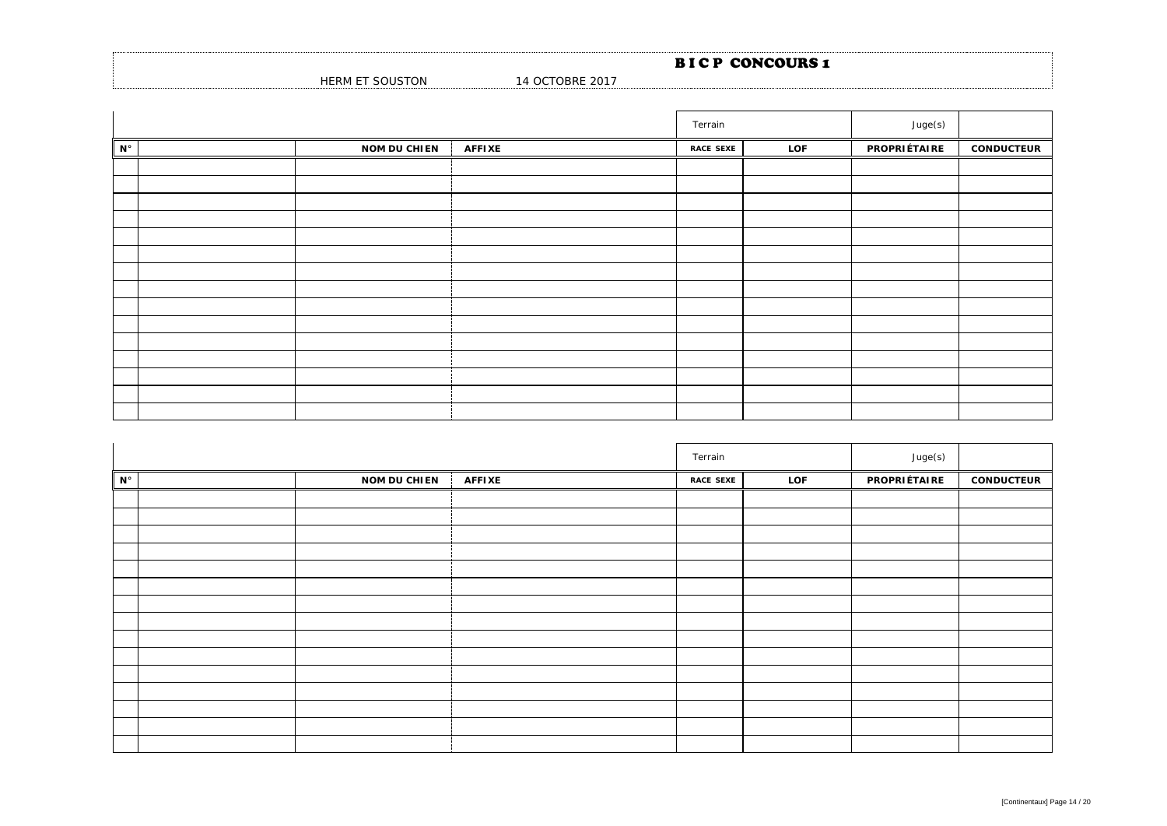|                         |                 | <b>BICP CONCOURS1</b> |
|-------------------------|-----------------|-----------------------|
| HERM ET SOL<br>oUSTON د | 14 OCTOBRE 2017 |                       |

|             |                     |               | Terrain          |     | Juge(s)      |                   |
|-------------|---------------------|---------------|------------------|-----|--------------|-------------------|
| $N^{\circ}$ | <b>NOM DU CHIEN</b> | <b>AFFIXE</b> | <b>RACE SEXE</b> | LOF | PROPRIÉTAIRE | <b>CONDUCTEUR</b> |
|             |                     |               |                  |     |              |                   |
|             |                     |               |                  |     |              |                   |
|             |                     |               |                  |     |              |                   |
|             |                     |               |                  |     |              |                   |
|             |                     |               |                  |     |              |                   |
|             |                     |               |                  |     |              |                   |
|             |                     |               |                  |     |              |                   |
|             |                     |               |                  |     |              |                   |
|             |                     |               |                  |     |              |                   |
|             |                     |               |                  |     |              |                   |
|             |                     |               |                  |     |              |                   |
|             |                     |               |                  |     |              |                   |
|             |                     |               |                  |     |              |                   |
|             |                     |               |                  |     |              |                   |
|             |                     |               |                  |     |              |                   |

|             |                     |               | Terrain          |     | Juge(s)      |                   |
|-------------|---------------------|---------------|------------------|-----|--------------|-------------------|
| $N^{\circ}$ | <b>NOM DU CHIEN</b> | <b>AFFIXE</b> | <b>RACE SEXE</b> | LOF | PROPRIÉTAIRE | <b>CONDUCTEUR</b> |
|             |                     |               |                  |     |              |                   |
|             |                     |               |                  |     |              |                   |
|             |                     |               |                  |     |              |                   |
|             |                     |               |                  |     |              |                   |
|             |                     |               |                  |     |              |                   |
|             |                     |               |                  |     |              |                   |
|             |                     |               |                  |     |              |                   |
|             |                     |               |                  |     |              |                   |
|             |                     |               |                  |     |              |                   |
|             |                     |               |                  |     |              |                   |
|             |                     |               |                  |     |              |                   |
|             |                     |               |                  |     |              |                   |
|             |                     |               |                  |     |              |                   |
|             |                     |               |                  |     |              |                   |
|             |                     |               |                  |     |              |                   |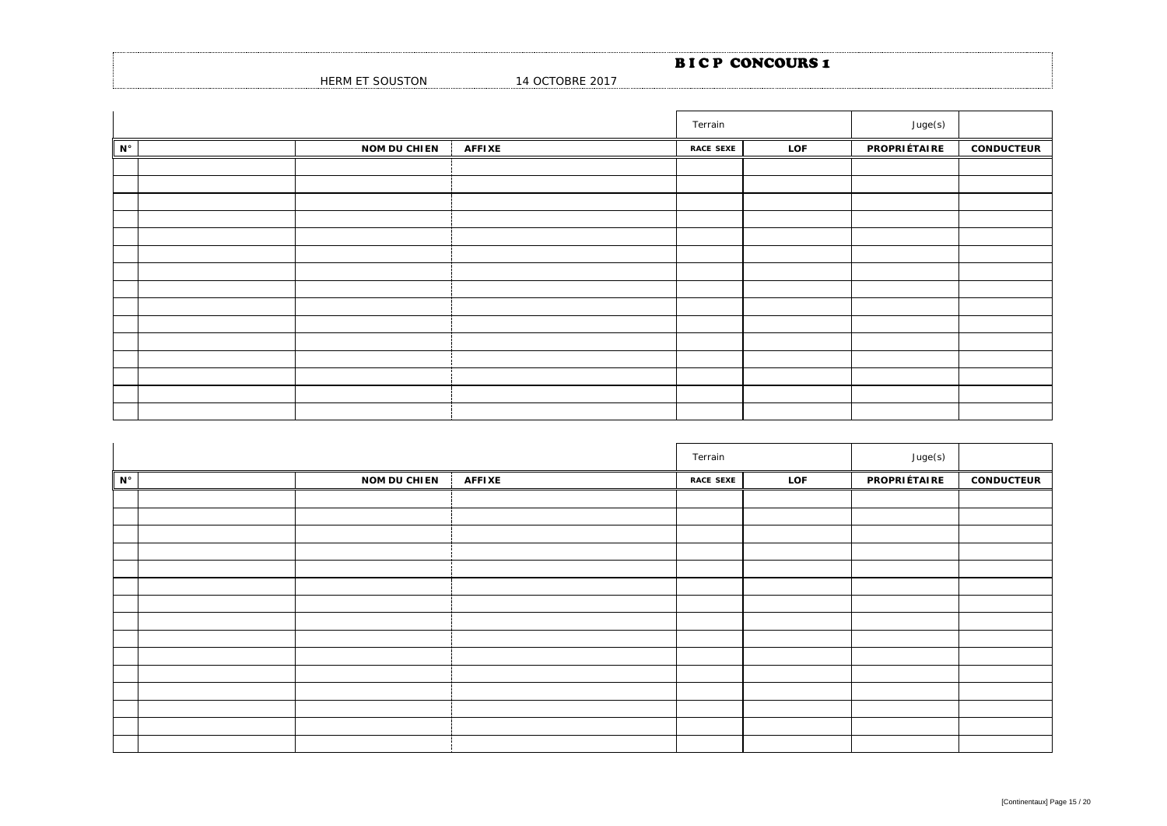|                 |                 | <b>BICP CONCOURS 1</b> |
|-----------------|-----------------|------------------------|
| HERM ET SOUSTON | 14 OCTOBRE 2017 |                        |

|             |                     |               | Terrain          |     | Juge(s)      |                   |
|-------------|---------------------|---------------|------------------|-----|--------------|-------------------|
| $N^{\circ}$ | <b>NOM DU CHIEN</b> | <b>AFFIXE</b> | <b>RACE SEXE</b> | LOF | PROPRIÉTAIRE | <b>CONDUCTEUR</b> |
|             |                     |               |                  |     |              |                   |
|             |                     |               |                  |     |              |                   |
|             |                     |               |                  |     |              |                   |
|             |                     |               |                  |     |              |                   |
|             |                     |               |                  |     |              |                   |
|             |                     |               |                  |     |              |                   |
|             |                     |               |                  |     |              |                   |
|             |                     |               |                  |     |              |                   |
|             |                     |               |                  |     |              |                   |
|             |                     |               |                  |     |              |                   |
|             |                     |               |                  |     |              |                   |
|             |                     |               |                  |     |              |                   |
|             |                     |               |                  |     |              |                   |
|             |                     |               |                  |     |              |                   |
|             |                     |               |                  |     |              |                   |

|             |                     |               | Terrain          |     | Juge(s)      |                   |
|-------------|---------------------|---------------|------------------|-----|--------------|-------------------|
| $N^{\circ}$ | <b>NOM DU CHIEN</b> | <b>AFFIXE</b> | <b>RACE SEXE</b> | LOF | PROPRIÉTAIRE | <b>CONDUCTEUR</b> |
|             |                     |               |                  |     |              |                   |
|             |                     |               |                  |     |              |                   |
|             |                     |               |                  |     |              |                   |
|             |                     |               |                  |     |              |                   |
|             |                     |               |                  |     |              |                   |
|             |                     |               |                  |     |              |                   |
|             |                     |               |                  |     |              |                   |
|             |                     |               |                  |     |              |                   |
|             |                     |               |                  |     |              |                   |
|             |                     |               |                  |     |              |                   |
|             |                     |               |                  |     |              |                   |
|             |                     |               |                  |     |              |                   |
|             |                     |               |                  |     |              |                   |
|             |                     |               |                  |     |              |                   |
|             |                     |               |                  |     |              |                   |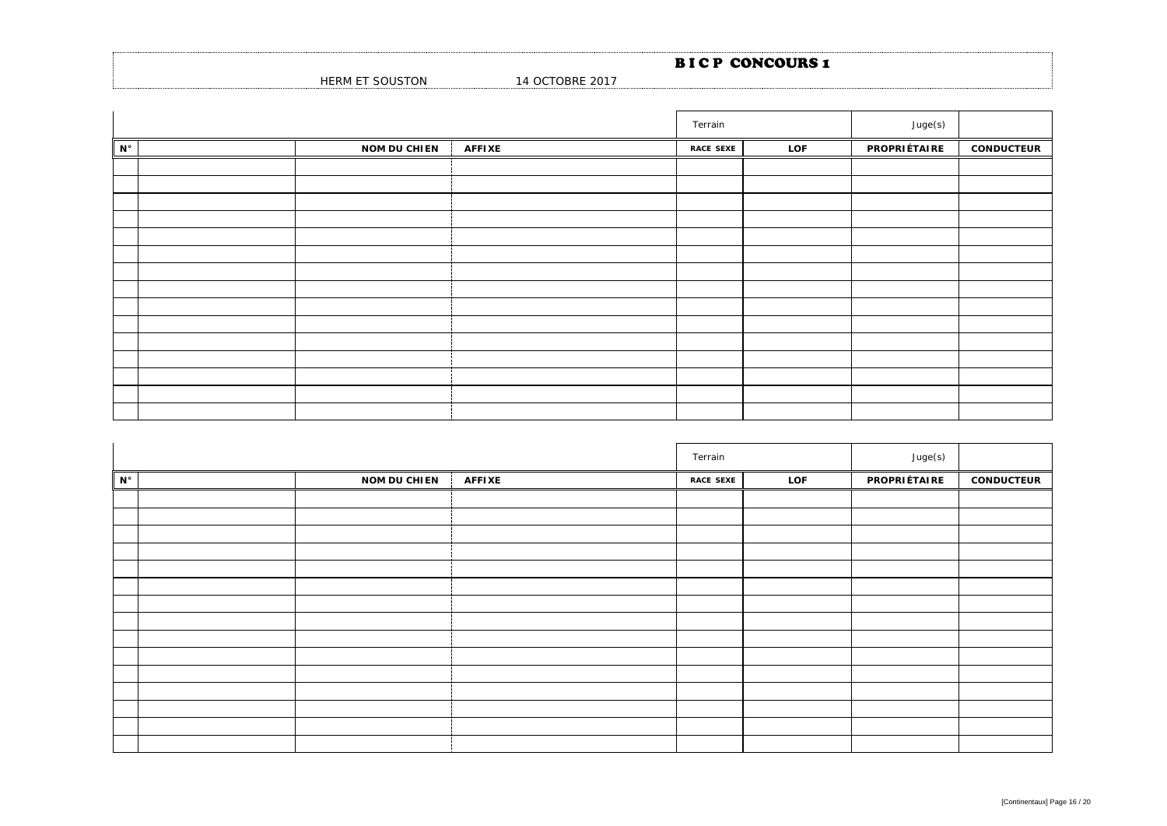|                         |                 | <b>BICP CONCOURS1</b> |
|-------------------------|-----------------|-----------------------|
| HERM ET SOL<br>oUSTON د | 14 OCTOBRE 2017 |                       |

|             |                     |               | Terrain          |     | Juge(s)      |                   |
|-------------|---------------------|---------------|------------------|-----|--------------|-------------------|
| $N^{\circ}$ | <b>NOM DU CHIEN</b> | <b>AFFIXE</b> | <b>RACE SEXE</b> | LOF | PROPRIÉTAIRE | <b>CONDUCTEUR</b> |
|             |                     |               |                  |     |              |                   |
|             |                     |               |                  |     |              |                   |
|             |                     |               |                  |     |              |                   |
|             |                     |               |                  |     |              |                   |
|             |                     |               |                  |     |              |                   |
|             |                     |               |                  |     |              |                   |
|             |                     |               |                  |     |              |                   |
|             |                     |               |                  |     |              |                   |
|             |                     |               |                  |     |              |                   |
|             |                     |               |                  |     |              |                   |
|             |                     |               |                  |     |              |                   |
|             |                     |               |                  |     |              |                   |
|             |                     |               |                  |     |              |                   |
|             |                     |               |                  |     |              |                   |
|             |                     |               |                  |     |              |                   |

|             |                     |               | Terrain          |     | Juge(s)      |                   |
|-------------|---------------------|---------------|------------------|-----|--------------|-------------------|
| $N^{\circ}$ | <b>NOM DU CHIEN</b> | <b>AFFIXE</b> | <b>RACE SEXE</b> | LOF | PROPRIÉTAIRE | <b>CONDUCTEUR</b> |
|             |                     |               |                  |     |              |                   |
|             |                     |               |                  |     |              |                   |
|             |                     |               |                  |     |              |                   |
|             |                     |               |                  |     |              |                   |
|             |                     |               |                  |     |              |                   |
|             |                     |               |                  |     |              |                   |
|             |                     |               |                  |     |              |                   |
|             |                     |               |                  |     |              |                   |
|             |                     |               |                  |     |              |                   |
|             |                     |               |                  |     |              |                   |
|             |                     |               |                  |     |              |                   |
|             |                     |               |                  |     |              |                   |
|             |                     |               |                  |     |              |                   |
|             |                     |               |                  |     |              |                   |
|             |                     |               |                  |     |              |                   |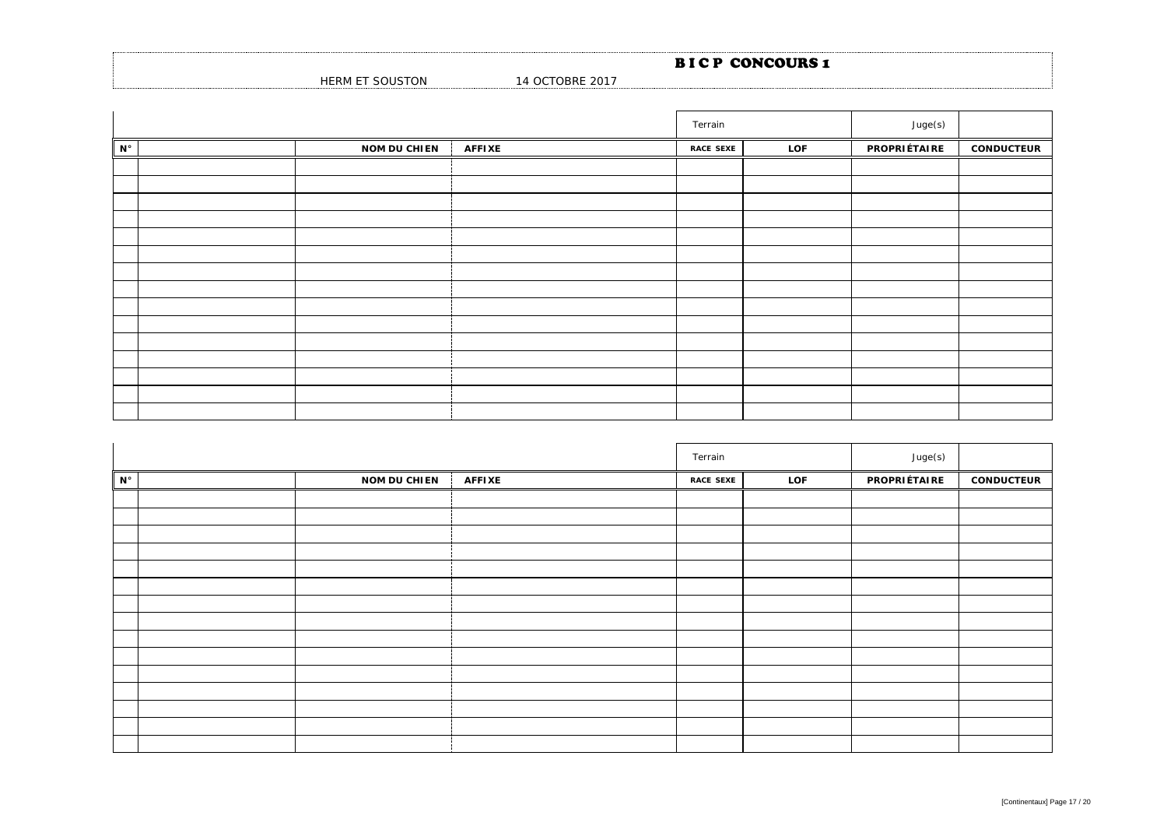|                 |                 | <b>BICP CONCOURS 1</b> |  |
|-----------------|-----------------|------------------------|--|
| HERM ET SOUSTON | 14 OCTOBRE 2017 |                        |  |

|                      |                     |               | Terrain          |     | Juge(s)      |                   |
|----------------------|---------------------|---------------|------------------|-----|--------------|-------------------|
| $\mathbf{N}^{\circ}$ | <b>NOM DU CHIEN</b> | <b>AFFIXE</b> | <b>RACE SEXE</b> | LOF | PROPRIÉTAIRE | <b>CONDUCTEUR</b> |
|                      |                     |               |                  |     |              |                   |
|                      |                     |               |                  |     |              |                   |
|                      |                     |               |                  |     |              |                   |
|                      |                     |               |                  |     |              |                   |
|                      |                     |               |                  |     |              |                   |
|                      |                     |               |                  |     |              |                   |
|                      |                     |               |                  |     |              |                   |
|                      |                     |               |                  |     |              |                   |
|                      |                     |               |                  |     |              |                   |
|                      |                     |               |                  |     |              |                   |
|                      |                     |               |                  |     |              |                   |
|                      |                     |               |                  |     |              |                   |
|                      |                     |               |                  |     |              |                   |
|                      |                     |               |                  |     |              |                   |
|                      |                     |               |                  |     |              |                   |

|                      |                     |               | Terrain          |     | Juge(s)      |                   |
|----------------------|---------------------|---------------|------------------|-----|--------------|-------------------|
| $\mathbf{N}^{\circ}$ | <b>NOM DU CHIEN</b> | <b>AFFIXE</b> | <b>RACE SEXE</b> | LOF | PROPRIÉTAIRE | <b>CONDUCTEUR</b> |
|                      |                     |               |                  |     |              |                   |
|                      |                     |               |                  |     |              |                   |
|                      |                     |               |                  |     |              |                   |
|                      |                     |               |                  |     |              |                   |
|                      |                     |               |                  |     |              |                   |
|                      |                     |               |                  |     |              |                   |
|                      |                     |               |                  |     |              |                   |
|                      |                     |               |                  |     |              |                   |
|                      |                     |               |                  |     |              |                   |
|                      |                     |               |                  |     |              |                   |
|                      |                     |               |                  |     |              |                   |
|                      |                     |               |                  |     |              |                   |
|                      |                     |               |                  |     |              |                   |
|                      |                     |               |                  |     |              |                   |
|                      |                     |               |                  |     |              |                   |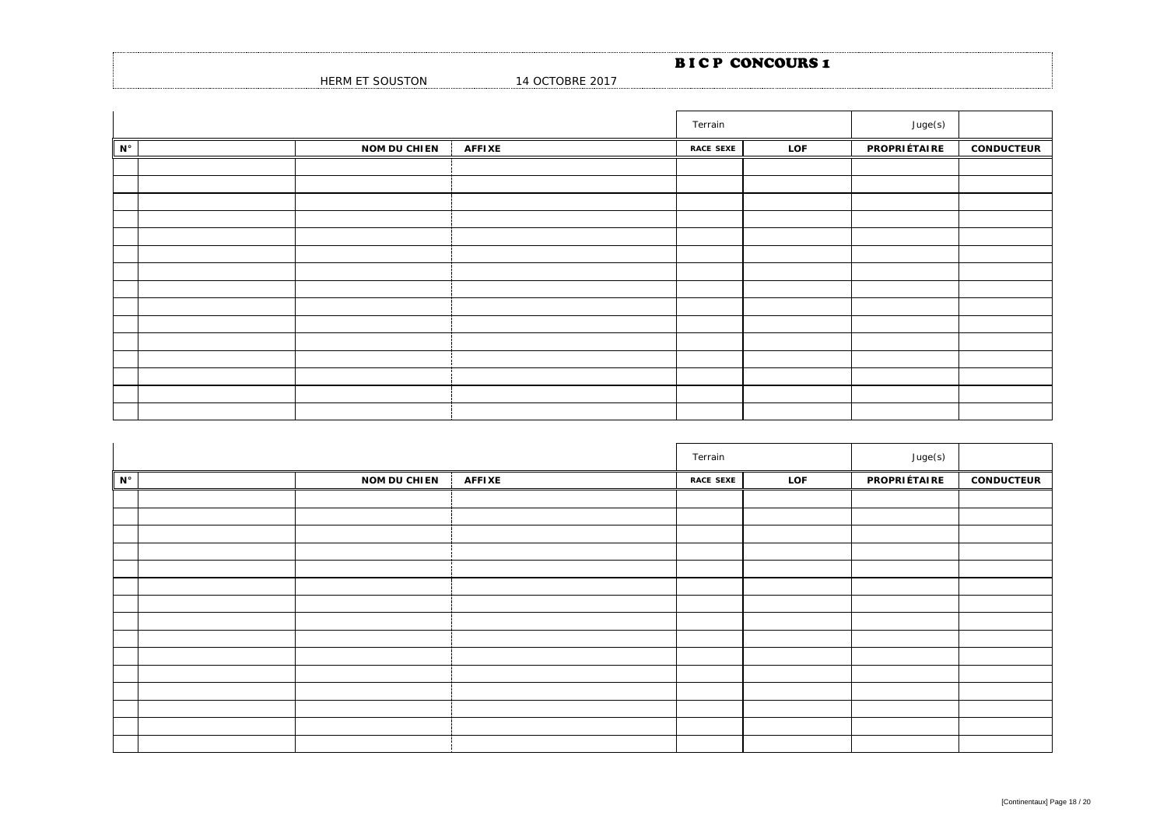|                         |                 | <b>BICP CONCOURS1</b> |
|-------------------------|-----------------|-----------------------|
| HERM ET SOL<br>oUSTON د | 14 OCTOBRE 2017 |                       |

|                      |                     |               | Terrain          |     | Juge(s)      |                   |
|----------------------|---------------------|---------------|------------------|-----|--------------|-------------------|
| $\mathbf{N}^{\circ}$ | <b>NOM DU CHIEN</b> | <b>AFFIXE</b> | <b>RACE SEXE</b> | LOF | PROPRIÉTAIRE | <b>CONDUCTEUR</b> |
|                      |                     |               |                  |     |              |                   |
|                      |                     |               |                  |     |              |                   |
|                      |                     |               |                  |     |              |                   |
|                      |                     |               |                  |     |              |                   |
|                      |                     |               |                  |     |              |                   |
|                      |                     |               |                  |     |              |                   |
|                      |                     |               |                  |     |              |                   |
|                      |                     |               |                  |     |              |                   |
|                      |                     |               |                  |     |              |                   |
|                      |                     |               |                  |     |              |                   |
|                      |                     |               |                  |     |              |                   |
|                      |                     |               |                  |     |              |                   |
|                      |                     |               |                  |     |              |                   |
|                      |                     |               |                  |     |              |                   |
|                      |                     |               |                  |     |              |                   |

|             |                     |               | Terrain          |     | Juge(s)      |                   |
|-------------|---------------------|---------------|------------------|-----|--------------|-------------------|
| $N^{\circ}$ | <b>NOM DU CHIEN</b> | <b>AFFIXE</b> | <b>RACE SEXE</b> | LOF | PROPRIÉTAIRE | <b>CONDUCTEUR</b> |
|             |                     |               |                  |     |              |                   |
|             |                     |               |                  |     |              |                   |
|             |                     |               |                  |     |              |                   |
|             |                     |               |                  |     |              |                   |
|             |                     |               |                  |     |              |                   |
|             |                     |               |                  |     |              |                   |
|             |                     |               |                  |     |              |                   |
|             |                     |               |                  |     |              |                   |
|             |                     |               |                  |     |              |                   |
|             |                     |               |                  |     |              |                   |
|             |                     |               |                  |     |              |                   |
|             |                     |               |                  |     |              |                   |
|             |                     |               |                  |     |              |                   |
|             |                     |               |                  |     |              |                   |
|             |                     |               |                  |     |              |                   |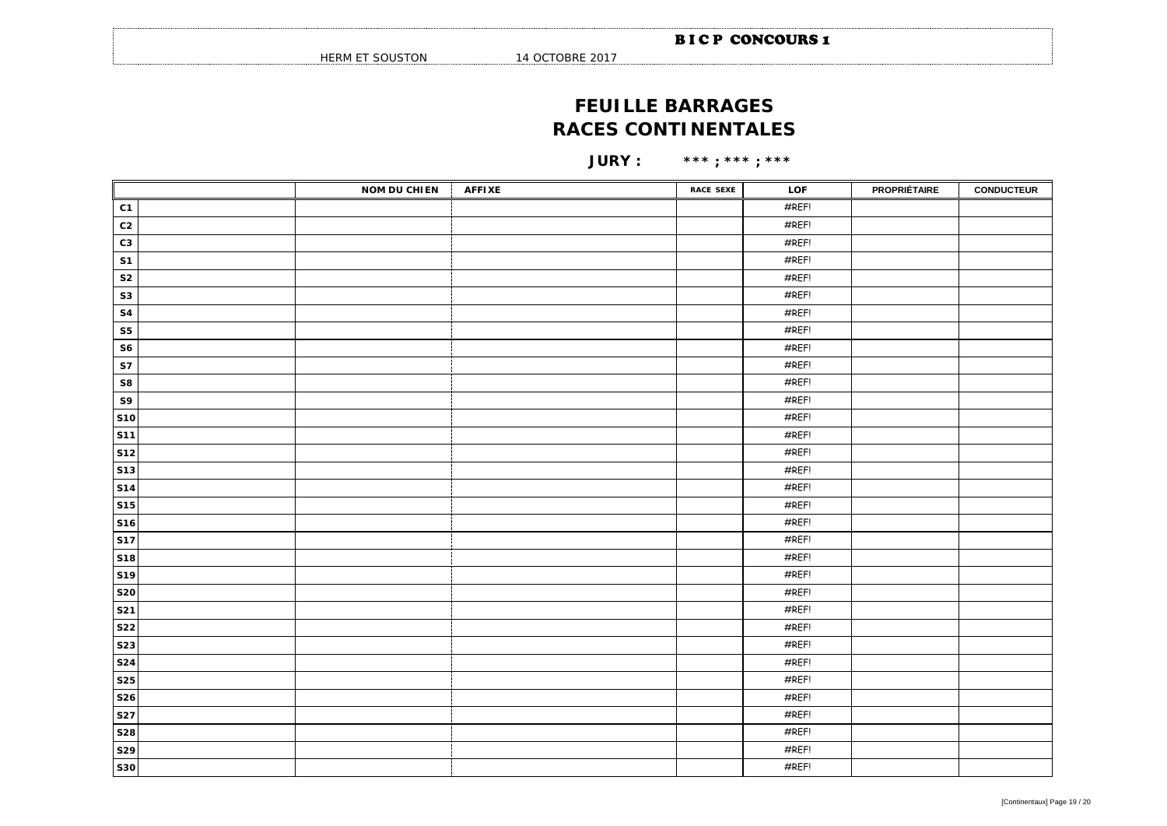HERM ET SOUSTON 14 OCTOBRE 2017

## **FEUILLE BARRAGES RACES CONTINENTALES**

**JURY : \*\*\* ; \*\*\* ; \*\*\***

|                | <b>NOM DU CHIEN</b> | <b>AFFIXE</b> | <b>RACE SEXE</b> | LOF   | <b>PROPRIÉTAIRE</b> | <b>CONDUCTEUR</b> |
|----------------|---------------------|---------------|------------------|-------|---------------------|-------------------|
| C1             |                     |               |                  | #REF! |                     |                   |
| C <sub>2</sub> |                     |               |                  | #REF! |                     |                   |
| C <sub>3</sub> |                     |               |                  | #REF! |                     |                   |
| S <sub>1</sub> |                     |               |                  | #REF! |                     |                   |
| ${\sf S2}$     |                     |               |                  | #REF! |                     |                   |
| ${\sf s}3$     |                     |               |                  | #REF! |                     |                   |
| <b>S4</b>      |                     |               |                  | #REF! |                     |                   |
| ${\sf S5}$     |                     |               |                  | #REF! |                     |                   |
| ${\sf S6}$     |                     |               |                  | #REF! |                     |                   |
| <b>S7</b>      |                     |               |                  | #REF! |                     |                   |
| S8             |                     |               |                  | #REF! |                     |                   |
| S9             |                     |               |                  | #REF! |                     |                   |
| <b>S10</b>     |                     |               |                  | #REF! |                     |                   |
| <b>S11</b>     |                     |               |                  | #REF! |                     |                   |
| <b>S12</b>     |                     |               |                  | #REF! |                     |                   |
| <b>S13</b>     |                     |               |                  | #REF! |                     |                   |
| <b>S14</b>     |                     |               |                  | #REF! |                     |                   |
| <b>S15</b>     |                     |               |                  | #REF! |                     |                   |
| <b>S16</b>     |                     |               |                  | #REF! |                     |                   |
| <b>S17</b>     |                     |               |                  | #REF! |                     |                   |
| <b>S18</b>     |                     |               |                  | #REF! |                     |                   |
| <b>S19</b>     |                     |               |                  | #REF! |                     |                   |
| <b>S20</b>     |                     |               |                  | #REF! |                     |                   |
| <b>S21</b>     |                     |               |                  | #REF! |                     |                   |
| <b>S22</b>     |                     |               |                  | #REF! |                     |                   |
| <b>S23</b>     |                     |               |                  | #REF! |                     |                   |
| <b>S24</b>     |                     |               |                  | #REF! |                     |                   |
| <b>S25</b>     |                     |               |                  | #REF! |                     |                   |
| <b>S26</b>     |                     |               |                  | #REF! |                     |                   |
| <b>S27</b>     |                     |               |                  | #REF! |                     |                   |
| <b>S28</b>     |                     |               |                  | #REF! |                     |                   |
| <b>S29</b>     |                     |               |                  | #REF! |                     |                   |
| <b>S30</b>     |                     |               |                  | #REF! |                     |                   |